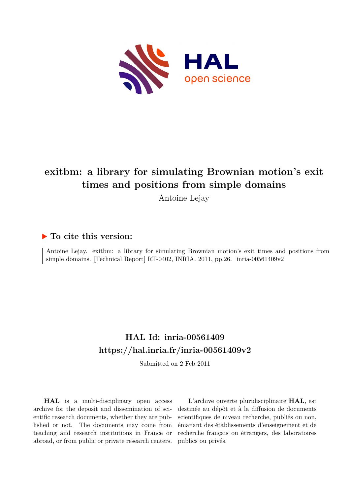

## **exitbm: a library for simulating Brownian motion's exit times and positions from simple domains**

Antoine Lejay

## **To cite this version:**

Antoine Lejay. exitbm: a library for simulating Brownian motion's exit times and positions from simple domains. [Technical Report] RT-0402, INRIA. 2011, pp.26.  $i$ nria-00561409v2

## **HAL Id: inria-00561409 <https://hal.inria.fr/inria-00561409v2>**

Submitted on 2 Feb 2011

**HAL** is a multi-disciplinary open access archive for the deposit and dissemination of scientific research documents, whether they are published or not. The documents may come from teaching and research institutions in France or abroad, or from public or private research centers.

L'archive ouverte pluridisciplinaire **HAL**, est destinée au dépôt et à la diffusion de documents scientifiques de niveau recherche, publiés ou non, émanant des établissements d'enseignement et de recherche français ou étrangers, des laboratoires publics ou privés.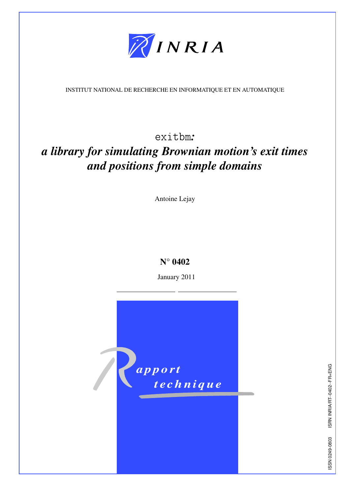

INSTITUT NATIONAL DE RECHERCHE EN INFORMATIQUE ET EN AUTOMATIQUE

exitbm*:*

# *a library for simulating Brownian motion's exit times and positions from simple domains*

Antoine Lejay

## N° 0402

January 2011

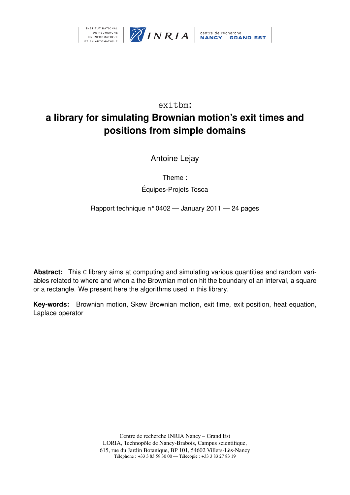



## exitbm**:**

## **a library for simulating Brownian motion's exit times and positions from simple domains**

Antoine Lejay

Theme :

Équipes-Projets Tosca

Rapport technique n° 0402 — January 2011 — 24 pages

**Abstract:** This C library aims at computing and simulating various quantities and random variables related to where and when a the Brownian motion hit the boundary of an interval, a square or a rectangle. We present here the algorithms used in this library.

**Key-words:** Brownian motion, Skew Brownian motion, exit time, exit position, heat equation, Laplace operator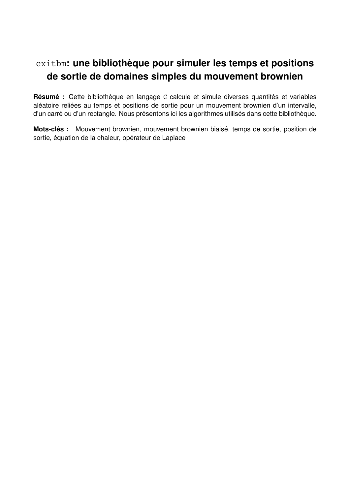## exitbm**: une bibliothèque pour simuler les temps et positions de sortie de domaines simples du mouvement brownien**

**Résumé :** Cette bibliothèque en langage C calcule et simule diverses quantités et variables aléatoire reliées au temps et positions de sortie pour un mouvement brownien d'un intervalle, d'un carré ou d'un rectangle. Nous présentons ici les algorithmes utilisés dans cette bibliothèque.

**Mots-clés :** Mouvement brownien, mouvement brownien biaisé, temps de sortie, position de sortie, équation de la chaleur, opérateur de Laplace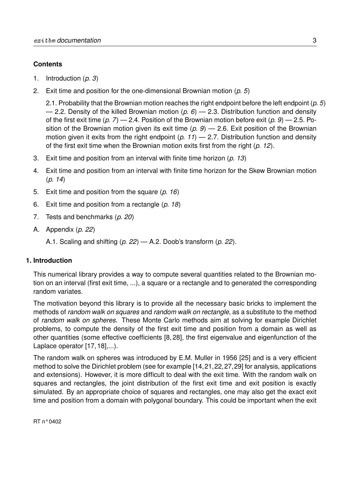## **Contents**

- 1. Introduction (*p. 3*)
- 2. Exit time and position for the one-dimensional Brownian motion (*p. 5*)

2.1. Probability that the Brownian motion reaches the right endpoint before the left endpoint (*p. 5*) — 2.2. Density of the killed Brownian motion (*p. 6*) — 2.3. Distribution function and density of the first exit time (*p. 7*) — 2.4. Position of the Brownian motion before exit (*p. 9*) — 2.5. Position of the Brownian motion given its exit time (*p. 9*) — 2.6. Exit position of the Brownian motion given it exits from the right endpoint (*p. 11*) — 2.7. Distribution function and density of the first exit time when the Brownian motion exits first from the right (*p. 12*).

- 3. Exit time and position from an interval with finite time horizon (*p. 13*)
- 4. Exit time and position from an interval with finite time horizon for the Skew Brownian motion (*p. 14*)
- 5. Exit time and position from the square (*p. 16*)
- 6. Exit time and position from a rectangle (*p. 18*)
- 7. Tests and benchmarks (*p. 20*)
- A. Appendix (*p. 22*)
	- A.1. Scaling and shifting (*p. 22*) A.2. Doob's transform (*p. 22*).

## **1. Introduction**

This numerical library provides a way to compute several quantities related to the Brownian motion on an interval (first exit time, ...), a square or a rectangle and to generated the corresponding random variates.

The motivation beyond this library is to provide all the necessary basic bricks to implement the methods of *random walk on squares* and *random walk on rectangle*, as a substitute to the method of *random walk on spheres*. These Monte Carlo methods aim at solving for example Dirichlet problems, to compute the density of the first exit time and position from a domain as well as other quantities (some effective coefficients [8, 28], the first eigenvalue and eigenfunction of the Laplace operator [17, 18],...).

The random walk on spheres was introduced by E.M. Muller in 1956 [25] and is a very efficient method to solve the Dirichlet problem (see for example [14,21,22,27,29] for analysis, applications and extensions). However, it is more difficult to deal with the exit time. With the random walk on squares and rectangles, the joint distribution of the first exit time and exit position is exactly simulated. By an appropriate choice of squares and rectangles, one may also get the exact exit time and position from a domain with polygonal boundary. This could be important when the exit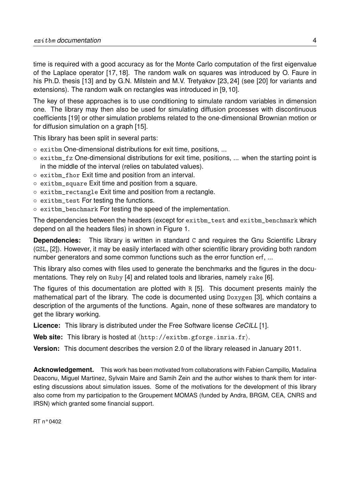time is required with a good accuracy as for the Monte Carlo computation of the first eigenvalue of the Laplace operator [17, 18]. The random walk on squares was introduced by O. Faure in his Ph.D. thesis [13] and by G.N. Milstein and M.V. Tretyakov [23, 24] (see [20] for variants and extensions). The random walk on rectangles was introduced in [9, 10].

The key of these approaches is to use conditioning to simulate random variables in dimension one. The library may then also be used for simulating diffusion processes with discontinuous coefficients [19] or other simulation problems related to the one-dimensional Brownian motion or for diffusion simulation on a graph [15].

This library has been split in several parts:

- exitbm One-dimensional distributions for exit time, positions, ...
- exitbm\_fz One-dimensional distributions for exit time, positions, ... when the starting point is in the middle of the interval (relies on tabulated values).
- exitbm\_fhor Exit time and position from an interval.
- exitbm\_square Exit time and position from a square.
- exitbm\_rectangle Exit time and position from a rectangle.
- exitbm\_test For testing the functions.
- exitbm\_benchmark For testing the speed of the implementation.

The dependencies between the headers (except for exitbm\_test and exitbm\_benchmark which depend on all the headers files) in shown in Figure 1.

**Dependencies:** This library is written in standard C and requires the Gnu Scientific Library (GSL, [2]). However, it may be easily interfaced with other scientific library providing both random number generators and some common functions such as the error function erf, ...

This library also comes with files used to generate the benchmarks and the figures in the documentations. They rely on Ruby [4] and related tools and libraries, namely rake [6].

The figures of this documentation are plotted with R [5]. This document presents mainly the mathematical part of the library. The code is documented using Doxygen [3], which contains a description of the arguments of the functions. Again, none of these softwares are mandatory to get the library working.

**Licence:** This library is distributed under the Free Software license *CeCILL* [1].

Web site: This library is hosted at  $\langle$ http://exitbm.gforge.inria.fr $\rangle$ .

**Version:** This document describes the version 2.0 of the library released in January 2011.

**Acknowledgement.** This work has been motivated from collaborations with Fabien Campillo, Madalina Deaconu, Miguel Martinez, Sylvain Maire and Samih Zein and the author wishes to thank them for interesting discussions about simulation issues. Some of the motivations for the development of this library also come from my participation to the Groupement MOMAS (funded by Andra, BRGM, CEA, CNRS and IRSN) which granted some financial support.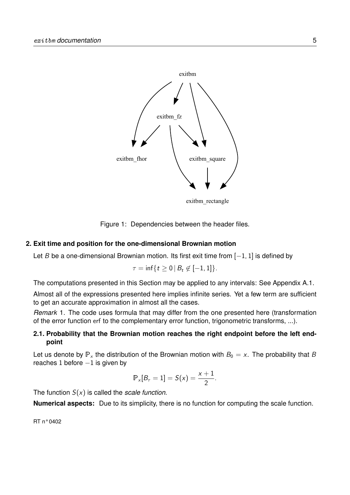

Figure 1: Dependencies between the header files.

### **2. Exit time and position for the one-dimensional Brownian motion**

Let B be a one-dimensional Brownian motion. Its first exit time from  $[-1, 1]$  is defined by

$$
\tau=\inf\{t\geq 0\,|\,B_t\not\in[-1,1]\}.
$$

The computations presented in this Section may be applied to any intervals: See Appendix A.1.

Almost all of the expressions presented here implies infinite series. Yet a few term are sufficient to get an accurate approximation in almost all the cases.

*Remark* 1*.* The code uses formula that may differ from the one presented here (transformation of the error function erf to the complementary error function, trigonometric transforms, ...).

## **2.1. Probability that the Brownian motion reaches the right endpoint before the left endpoint**

Let us denote by  $\mathbb{P}_x$  the distribution of the Brownian motion with  $B_0 = x$ . The probability that B reaches 1 before  $-1$  is given by

$$
\mathbb{P}_{x}[B_{\tau}=1] = S(x) = \frac{x+1}{2}.
$$

The function S(x) is called the *scale function*.

**Numerical aspects:** Due to its simplicity, there is no function for computing the scale function.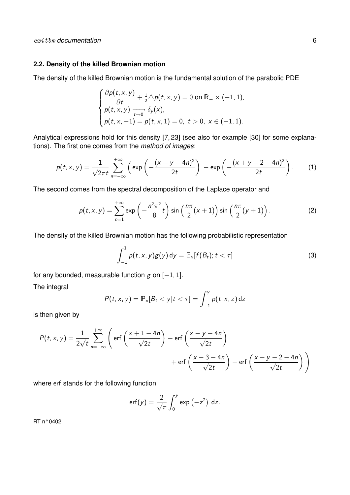### **2.2. Density of the killed Brownian motion**

The density of the killed Brownian motion is the fundamental solution of the parabolic PDE

$$
\begin{cases}\n\frac{\partial p(t,x,y)}{\partial t} + \frac{1}{2} \triangle p(t,x,y) = 0 \text{ on } \mathbb{R}_+ \times (-1,1), \\
p(t,x,y) \longrightarrow \delta_y(x), \\
p(t,x,-1) = p(t,x,1) = 0, \ t > 0, \ x \in (-1,1).\n\end{cases}
$$

Analytical expressions hold for this density [7, 23] (see also for example [30] for some explanations). The first one comes from the *method of images*:

$$
p(t, x, y) = \frac{1}{\sqrt{2\pi t}} \sum_{n=-\infty}^{+\infty} \left( \exp\left(-\frac{(x-y-4n)^2}{2t}\right) - \exp\left(-\frac{(x+y-2-4n)^2}{2t}\right) \right).
$$
 (1)

The second comes from the spectral decomposition of the Laplace operator and

$$
p(t,x,y)=\sum_{n=1}^{+\infty}\exp\left(-\frac{n^2\pi^2}{8}t\right)\sin\left(\frac{n\pi}{2}(x+1)\right)\sin\left(\frac{n\pi}{2}(y+1)\right).
$$
 (2)

The density of the killed Brownian motion has the following probabilistic representation

$$
\int_{-1}^1 p(t,x,y)g(y) dy = \mathbb{E}_x[f(B_t); t < \tau]
$$
\n(3)

for any bounded, measurable function  $g$  on  $[-1, 1]$ . The integral

$$
P(t, x, y) = \mathbb{P}_{x}[B_{t} < y | t < \tau] = \int_{-1}^{y} p(t, x, z) dz
$$

is then given by

$$
P(t, x, y) = \frac{1}{2\sqrt{t}} \sum_{n=-\infty}^{+\infty} \left( \text{erf}\left(\frac{x+1-4n}{\sqrt{2t}}\right) - \text{erf}\left(\frac{x-y-4n}{\sqrt{2t}}\right) + \text{erf}\left(\frac{x-3-4n}{\sqrt{2t}}\right) - \text{erf}\left(\frac{x+y-2-4n}{\sqrt{2t}}\right) \right)
$$

where erf stands for the following function

$$
\operatorname{erf}(y) = \frac{2}{\sqrt{\pi}} \int_0^y \exp(-z^2) dz.
$$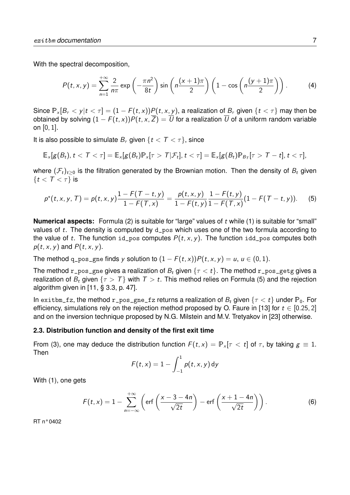With the spectral decomposition,

$$
P(t, x, y) = \sum_{n=1}^{+\infty} \frac{2}{n\pi} \exp\left(-\frac{\pi n^2}{8t}\right) \sin\left(n\frac{(x+1)\pi}{2}\right) \left(1 - \cos\left(n\frac{(y+1)\pi}{2}\right)\right).
$$
 (4)

Since  $\mathbb{P}_x[B_\tau \lt y | t \lt \tau] = (1 - F(t, x))P(t, x, y)$ , a realization of  $B_\tau$  given  $\{t \lt \tau\}$  may then be obtained by solving  $(1 - F(t, x))P(t, x, \overline{Z}) = \overline{U}$  for a realization  $\overline{U}$  of a uniform random variable on [0, 1].

It is also possible to simulate  $B_{\tau}$  given  $\{t < T < \tau\}$ , since

$$
\mathbb{E}_x[g(B_t), t < T < \tau] = \mathbb{E}_x[g(B_t) \mathbb{P}_x[\tau > T | \mathcal{F}_t], t < \tau] = \mathbb{E}_x[g(B_t) \mathbb{P}_{B_T}[\tau > T - t], t < \tau],
$$

where  $(\mathcal{F}_t)_{t>0}$  is the filtration generated by the Brownian motion. Then the density of  $B_t$  given  $\{t < T < \tau\}$  is

$$
p^*(t,x,y,T) = p(t,x,y) \frac{1 - F(T - t,y)}{1 - F(T,x)} = \frac{p(t,x,y)}{1 - F(t,y)} \frac{1 - F(t,y)}{1 - F(T,x)} (1 - F(T - t,y)).
$$
 (5)

**Numerical aspects:** Formula (2) is suitable for "large" values of t while (1) is suitable for "small" values of t. The density is computed by d\_pos which uses one of the two formula according to the value of t. The function id\_pos computes  $P(t, x, y)$ . The function idd\_pos computes both  $p(t, x, y)$  and  $P(t, x, y)$ .

The method q\_pos\_gne finds y solution to  $(1 - F(t, x))P(t, x, y) = u, u \in (0, 1)$ .

The method r\_pos\_gne gives a realization of  $B_t$  given  $\{\tau < t\}$ . The method r\_pos\_getg gives a realization of  $B_t$  given  $\{\tau > T\}$  with  $T > t$ . This method relies on Formula (5) and the rejection algorithm given in [11, § 3.3, p. 47].

In exitbm\_fz, the method r\_pos\_gne\_fz returns a realization of  $B_t$  given  $\{\tau < t\}$  under  $\mathbb{P}_0$ . For efficiency, simulations rely on the rejection method proposed by O. Faure in [13] for  $t \in [0.25, 2]$ and on the inversion technique proposed by N.G. Milstein and M.V. Tretyakov in [23] otherwise.

#### **2.3. Distribution function and density of the first exit time**

From (3), one may deduce the distribution function  $F(t, x) = \mathbb{P}_x[\tau \le t]$  of  $\tau$ , by taking  $g \equiv 1$ . Then

$$
F(t,x)=1-\int_{-1}^1 p(t,x,y)\,\mathrm{d}y
$$

With (1), one gets

$$
F(t,x) = 1 - \sum_{n=-\infty}^{+\infty} \left( \text{erf}\left(\frac{x-3-4n}{\sqrt{2t}}\right) - \text{erf}\left(\frac{x+1-4n}{\sqrt{2t}}\right) \right).
$$
 (6)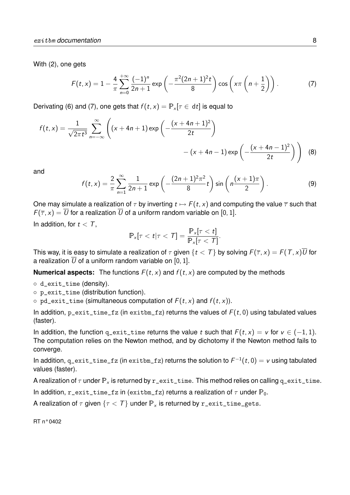With (2), one gets

$$
F(t,x) = 1 - \frac{4}{\pi} \sum_{n=0}^{+\infty} \frac{(-1)^n}{2n+1} \exp\left(-\frac{\pi^2 (2n+1)^2 t}{8}\right) \cos\left(x\pi \left(n+\frac{1}{2}\right)\right).
$$
 (7)

Derivating (6) and (7), one gets that  $f(t, x) = \mathbb{P}_{x}[\tau \in dt]$  is equal to

$$
f(t,x) = \frac{1}{\sqrt{2\pi t^3}} \sum_{n=-\infty}^{\infty} \left( (x+4n+1) \exp\left(-\frac{(x+4n+1)^2}{2t}\right) - (x+4n-1) \exp\left(-\frac{(x+4n-1)^2}{2t}\right) \right)
$$
(8)

and

$$
f(t,x) = \frac{2}{\pi} \sum_{n=1}^{\infty} \frac{1}{2n+1} \exp\left(-\frac{(2n+1)^2 \pi^2}{8} t\right) \sin\left(n\frac{(x+1)\pi}{2}\right).
$$
 (9)

One may simulate a realization of  $\tau$  by inverting  $t \mapsto F(t, x)$  and computing the value  $\bar{\tau}$  such that  $F(\overline{\tau}, x) = \overline{U}$  for a realization  $\overline{U}$  of a uniform random variable on [0, 1].

In addition, for  $t < T$ ,

$$
\mathbb{P}_x[\tau < t | \tau < \mathcal{T}] = \frac{\mathbb{P}_x[\tau < t]}{\mathbb{P}_x[\tau < \mathcal{T}]}.
$$

This way, it is easy to simulate a realization of  $\tau$  given  $\{t < T\}$  by solving  $F(\overline{\tau}, x) = F(T, x)U$  for a realization  $\overline{U}$  of a uniform random variable on [0, 1].

**Numerical aspects:** The functions  $F(t, x)$  and  $f(t, x)$  are computed by the methods

- d\_exit\_time (density).
- p\_exit\_time (distribution function).
- $\circ$  pd\_exit\_time (simultaneous computation of  $F(t, x)$  and  $f(t, x)$ ).

In addition,  $p$ <sub>-exit-time-fz</sub> (in exitbm<sub>-fz</sub>) returns the values of  $F(t, 0)$  using tabulated values (faster).

In addition, the function q\_exit\_time returns the value t such that  $F(t, x) = v$  for  $v \in (-1, 1)$ . The computation relies on the Newton method, and by dichotomy if the Newton method fails to converge.

In addition, <code>q\_exit\_time\_fz</code> (in <code>exitbm\_fz</code>) returns the solution to  $\mathcal{F}^{-1}(t,0)=\mathcal{V}$  using tabulated values (faster).

A realization of  $\tau$  under  $\mathbb{P}_x$  is returned by  $r$ \_exit\_time. This method relies on calling q\_exit\_time.

In addition, r\_exit\_time\_fz in (exitbm\_fz) returns a realization of  $\tau$  under  $\mathbb{P}_0$ .

A realization of  $\tau$  given  $\{\tau < T\}$  under  $\mathbb{P}_x$  is returned by r\_exit\_time\_gets.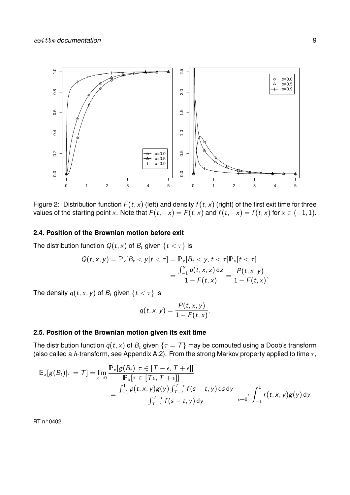

Figure 2: Distribution function  $F(t, x)$  (left) and density  $f(t, x)$  (right) of the first exit time for three values of the starting point x. Note that  $F(t, -x) = F(t, x)$  and  $f(t, -x) = f(t, x)$  for  $x \in (-1, 1)$ .

#### **2.4. Position of the Brownian motion before exit**

The distribution function  $Q(t, x)$  of  $B_t$  given  $\{t < \tau\}$  is

$$
Q(t, x, y) = \mathbb{P}_x[B_t < y | t < \tau] = \mathbb{P}_x[B_t < y, t < \tau] \mathbb{P}_x[t < \tau] \\
= \frac{\int_{-1}^y p(t, x, z) \, dz}{1 - F(t, x)} = \frac{P(t, x, y)}{1 - F(t, x)}.
$$

The density  $q(t, x, y)$  of  $B_t$  given  $\{t < \tau\}$  is

$$
q(t,x,y)=\frac{P(t,x,y)}{1-F(t,x)}.
$$

## **2.5. Position of the Brownian motion given its exit time**

The distribution function  $q(t, x)$  of  $B_t$  given  $\{\tau = T\}$  may be computed using a Doob's transform (also called a h-transform, see Appendix A.2). From the strong Markov property applied to time  $\tau$ ,

$$
\mathbb{E}_{\mathsf{x}}[g(B_t)|\tau = \mathcal{T}] = \lim_{\epsilon \to 0} \frac{\mathbb{P}_{\mathsf{x}}[g(B_t), \tau \in [\mathcal{T} - \epsilon, \mathcal{T} + \epsilon]]}{\mathbb{P}_{\mathsf{x}}[\tau \in [\mathcal{T}\epsilon, \mathcal{T} + \epsilon]]}
$$
  
= 
$$
\frac{\int_{-1}^{1} p(t, x, y)g(y) \int_{\mathcal{T} - \epsilon}^{\mathcal{T} + \epsilon} f(s - t, y) ds dy}{\int_{\mathcal{T} - \epsilon}^{\mathcal{T} + \epsilon} f(s - t, y) dy} \xrightarrow[\epsilon \to 0]{} \int_{-1}^{1} r(t, x, y)g(y) dy
$$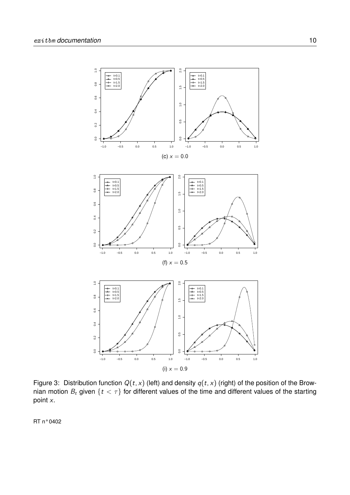

Figure 3: Distribution function  $Q(t, x)$  (left) and density  $q(t, x)$  (right) of the position of the Brownian motion  $B_t$  given  $\{t < \tau\}$  for different values of the time and different values of the starting point x.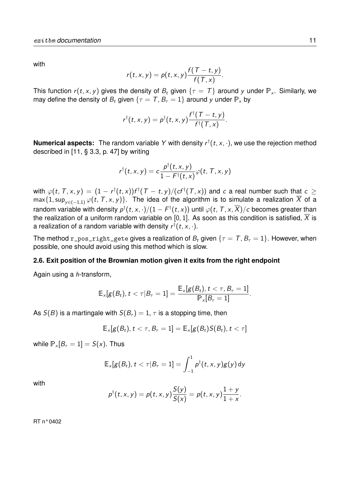with

$$
r(t,x,y)=p(t,x,y)\frac{f(T-t,y)}{f(T,x)}.
$$

This function  $r(t, x, y)$  gives the density of  $B_t$  given  $\{\tau = T\}$  around y under  $\mathbb{P}_x$ . Similarly, we may define the density of  $B_t$  given  $\{\tau = T, B_{\tau} = 1\}$  around y under  $\mathbb{P}_x$  by

$$
r^{\dagger}(t,x,y)=p^{\dagger}(t,x,y)\frac{f^{\dagger}(T-t,y)}{f^{\dagger}(T,x)}.
$$

**Numerical aspects:** The random variable Y with density  $r^{\dagger}(t, x, \cdot)$ , we use the rejection method described in [11, § 3.3, p. 47] by writing

$$
r^{\dagger}(t,x,y)=c\frac{p^{\dagger}(t,x,y)}{1-F^{\dagger}(t,x)}\varphi(t, T, x, y)
$$

with  $\varphi(t,\,T, x, y)\,=\,(1-\hskip.01in r^\dagger(t,x))f^\dagger(\,T\,-\,t,y)/(c f^\dagger(\,T, x))$  and  $\,c\,$  a real number such that  $\,c\,\geq\,$ max{1, sup<sub>y∈(-1,1)</sub>  $\varphi(t, T, x, y)$ . The idea of the algorithm is to simulate a realization  $\overline{X}$  of a random variable with density  $p^\dagger(t,x,\cdot)/(1-F^\dagger(t,x))$  until  $\varphi(t,\,T,x,\overline{X})/c$  becomes greater than the realization of a uniform random variable on [0, 1]. As soon as this condition is satisfied,  $\overline{X}$  is a realization of a random variable with density  $\mathsf{r}^\dagger(t,\mathsf{x},\cdot).$ 

The method r\_pos\_right\_gete gives a realization of  $B_t$  given  $\{\tau = T, B_{\tau} = 1\}$ . However, when possible, one should avoid using this method which is slow.

### **2.6. Exit position of the Brownian motion given it exits from the right endpoint**

Again using a h-transform,

$$
\mathbb{E}_\times[g(B_t), t < \tau | B_\tau = 1] = \frac{\mathbb{E}_\times[g(B_t), t < \tau, B_\tau = 1]}{\mathbb{P}_\times[B_\tau = 1]}.
$$

As  $S(B)$  is a martingale with  $S(B<sub>\tau</sub>) = 1$ ,  $\tau$  is a stopping time, then

$$
\mathbb{E}_x[g(B_t), t < \tau, B_{\tau} = 1] = \mathbb{E}_x[g(B_t)S(B_t), t < \tau]
$$

while  $P_x[B_\tau = 1] = S(x)$ . Thus

$$
\mathbb{E}_x[g(B_t), t < \tau | B_{\tau} = 1] = \int_{-1}^1 p^{\dagger}(t, x, y)g(y) dy
$$

with

$$
p^{\dagger}(t,x,y)=p(t,x,y)\frac{S(y)}{S(x)}=p(t,x,y)\frac{1+y}{1+x}.
$$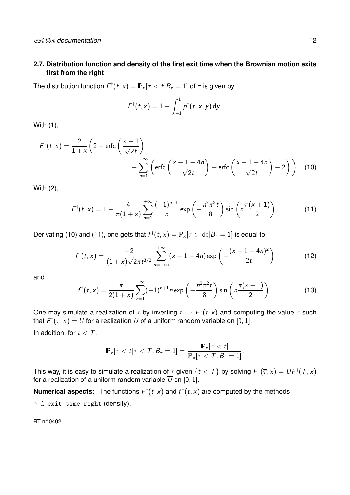## **2.7. Distribution function and density of the first exit time when the Brownian motion exits first from the right**

The distribution function  $\mathcal{F}^{\dagger}(t,x)=\mathbb{P}_{\times}[\tau < t|B_{\tau}=1]$  of  $\tau$  is given by

$$
\mathsf{F}^\dagger(t,x)=1-\int_{-1}^1p^\dagger(t,x,y)\,\mathrm{d}y.
$$

With (1),

$$
F^{\dagger}(t,x) = \frac{2}{1+x} \left( 2 - \text{erfc}\left(\frac{x-1}{\sqrt{2t}}\right) - \sum_{n=1}^{+\infty} \left( \text{erfc}\left(\frac{x-1-4n}{\sqrt{2t}}\right) + \text{erfc}\left(\frac{x-1+4n}{\sqrt{2t}}\right) - 2 \right) \right).
$$
 (10)

With (2),

$$
F^{\dagger}(t,x) = 1 - \frac{4}{\pi(1+x)} \sum_{n=1}^{+\infty} \frac{(-1)^{n+1}}{n} \exp\left(-\frac{n^2 \pi^2 t}{8}\right) \sin\left(n \frac{\pi(x+1)}{2}\right).
$$
 (11)

Derivating (10) and (11), one gets that  $f^{\dagger}(t,x)=\mathbb{P}_{x}[\tau \in \, \mathrm{d}t | B_{\tau}=1]$  is equal to

$$
f^{\dagger}(t,x) = \frac{-2}{(1+x)\sqrt{2\pi}t^{3/2}}\sum_{n=-\infty}^{+\infty} (x-1-4n)\exp\left(-\frac{(x-1-4n)^2}{2t}\right)
$$
(12)

and

$$
f^{\dagger}(t,x) = \frac{\pi}{2(1+x)} \sum_{n=1}^{+\infty} (-1)^{n+1} n \exp\left(-\frac{n^2 \pi^2 t}{8}\right) \sin\left(n \frac{\pi(x+1)}{2}\right).
$$
 (13)

One may simulate a realization of  $\tau$  by inverting  $t\mapsto F^{\dagger}(t,x)$  and computing the value  $\overline{\tau}$  such that  $\digamma^\dagger(\overline{\tau},x)=\overline{U}$  for a realization  $\overline{U}$  of a uniform random variable on [0, 1]. In addition, for  $t < T$ ,

$$
\mathbb{P}_x[\tau < t | \tau < \mathcal{T}, B_\tau = 1] = \frac{\mathbb{P}_x[\tau < t]}{\mathbb{P}_x[\tau < \mathcal{T}, B_\tau = 1]}.
$$

This way, it is easy to simulate a realization of  $\tau$  given  $\{t< T\}$  by solving  $\digamma^\dag(\overline\tau,x)=\overline{U}\digamma^\dag(T,x)$ for a realization of a uniform random variable  $\overline{U}$  on [0, 1].

**Numerical aspects:** The functions  $F^{\dagger}(t, x)$  and  $f^{\dagger}(t, x)$  are computed by the methods ◦ d\_exit\_time\_right (density).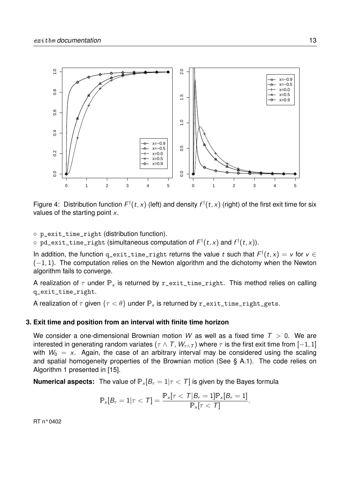

Figure 4: Distribution function  $F^{\dagger}(t, x)$  (left) and density  $f^{\dagger}(t, x)$  (right) of the first exit time for six values of the starting point  $x$ .

◦ p\_exit\_time\_right (distribution function).

 $\circ$  <code>pd\_exit\_time\_right</code> (simultaneous computation of  $\mathcal{F}^{\dagger}(t,x)$  and  $\mathcal{f}^{\dagger}(t,x)$ ).

In addition, the function <code>q\_exit\_time\_right</code> returns the value  $t$  such that  $F^\dagger(t,x) = v$  for  $v \in$  $(-1, 1)$ . The computation relies on the Newton algorithm and the dichotomy when the Newton algorithm fails to converge.

A realization of  $\tau$  under  $\mathbb{P}_x$  is returned by r\_exit\_time\_right. This method relies on calling q\_exit\_time\_right.

A realization of  $\tau$  given  $\{\tau < \theta\}$  under  $\mathbb{P}_x$  is returned by r\_exit\_time\_right\_gets.

#### **3. Exit time and position from an interval with finite time horizon**

We consider a one-dimensional Brownian motion W as well as a fixed time  $T > 0$ . We are interested in generating random variates ( $\tau \wedge \tau$ ,  $W_{\tau \wedge \tau}$ ) where  $\tau$  is the first exit time from [-1, 1] with  $W_0 = x$ . Again, the case of an arbitrary interval may be considered using the scaling and spatial homogeneity properties of the Brownian motion (See § A.1). The code relies on Algorithm 1 presented in [15].

**Numerical aspects:** The value of  $P_x[B_\tau = 1 | \tau \langle T]$  is given by the Bayes formula

$$
\mathbb{P}_x[B_\tau=1 | \tau < \mathcal{T}] = \frac{\mathbb{P}_x[\tau < \mathcal{T} | B_\tau = 1] \mathbb{P}_x[B_\tau = 1]}{\mathbb{P}_x[\tau < \mathcal{T}]}.
$$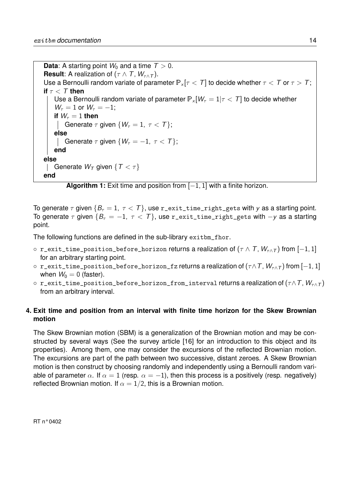**Data:** A starting point  $W_0$  and a time  $T > 0$ . **Result:** A realization of  $(\tau \wedge \tau, W_{\tau \wedge \tau})$ . Use a Bernoulli random variate of parameter  $\mathbb{P}_x[\tau < \tau]$  to decide whether  $\tau < \tau$  or  $\tau > \tau$ ; **if**  $\tau$  < T **then** Use a Bernoulli random variate of parameter  $\mathbb{P}_x[W_\tau = 1 | \tau \langle T]$  to decide whether  $W_\tau = 1$  or  $W_\tau = -1$ ; **if**  $W_{\tau} = 1$  **then** Generate  $\tau$  given  $\{W_{\tau}=1, \tau < \tau\};$ **else** Generate  $\tau$  given  $\{W_{\tau} = -1, \tau < \tau\};$ **end else** | Generate  $W_T$  given  $\{T < \tau\}$ **end**

**Algorithm 1:** Exit time and position from [−1, 1] with a finite horizon.

To generate  $\tau$  given  $\{B_{\tau}=1, \tau<\tau\}$ , use r\_exit\_time\_right\_gets with y as a starting point. To generate  $\tau$  given  $\{B_{\tau} = -1, \tau < \tau\}$ , use r\_exit\_time\_right\_gets with  $-\gamma$  as a starting point.

The following functions are defined in the sub-library exitbm\_fhor.

- $\circ$  r\_exit\_time\_position\_before\_horizon returns a realization of ( $\tau \wedge \tau$ ,  $W_{\tau \wedge \tau}$ ) from [-1, 1] for an arbitrary starting point.
- $\circ$  r\_exit\_time\_position\_before\_horizon\_fz returns a realization of  $(\tau \wedge \tau, W_{\tau \wedge \tau})$  from  $[-1, 1]$ when  $W_0 = 0$  (faster).
- $\circ$  r\_exit\_time\_position\_before\_horizon\_from\_interval returns a realization of  $(\tau \wedge T, W_{\tau \wedge T})$ from an arbitrary interval.

## **4. Exit time and position from an interval with finite time horizon for the Skew Brownian motion**

The Skew Brownian motion (SBM) is a generalization of the Brownian motion and may be constructed by several ways (See the survey article [16] for an introduction to this object and its properties). Among them, one may consider the excursions of the reflected Brownian motion. The excursions are part of the path between two successive, distant zeroes. A Skew Brownian motion is then construct by choosing randomly and independently using a Bernoulli random variable of parameter  $\alpha$ . If  $\alpha = 1$  (resp.  $\alpha = -1$ ), then this process is a positively (resp. negatively) reflected Brownian motion. If  $\alpha = 1/2$ , this is a Brownian motion.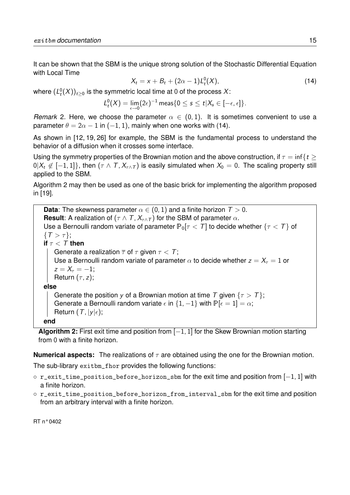It can be shown that the SBM is the unique strong solution of the Stochastic Differential Equation with Local Time

$$
X_t = x + B_t + (2\alpha - 1)L_t^0(X),
$$
\n(14)

where  $(L^0_t(X))_{t\geq 0}$  is the symmetric local time at 0 of the process  $X$ :

$$
L^0_t(X)=\lim_{\epsilon\to 0}(2\epsilon)^{-1}\,\text{meas}\{0\leq s\leq t\vert X_s\in [-\epsilon,\epsilon]\}.
$$

*Remark* 2. Here, we choose the parameter  $\alpha \in (0,1)$ . It is sometimes convenient to use a parameter  $\theta = 2\alpha - 1$  in  $(-1, 1)$ , mainly when one works with (14).

As shown in [12, 19, 26] for example, the SBM is the fundamental process to understand the behavior of a diffusion when it crosses some interface.

Using the symmetry properties of the Brownian motion and the above construction, if  $\tau = \inf\{t \geq 1\}$  $0|X_t \notin [-1,1]\}$ , then  $(\tau \wedge \tau, X_{\tau \wedge \tau})$  is easily simulated when  $X_0 = 0$ . The scaling property still applied to the SBM.

Algorithm 2 may then be used as one of the basic brick for implementing the algorithm proposed in [19].

**Data**: The skewness parameter  $\alpha \in (0,1)$  and a finite horizon  $T > 0$ . **Result**: A realization of  $(τ ∧ T, X_{τ ∧ T})$  for the SBM of parameter  $α$ . Use a Bernoulli random variate of parameter  $P_0[\tau < \tau]$  to decide whether  $\{\tau < \tau\}$  of  $\{T > \tau\};$ **if**  $\tau < T$  **then** Generate a realization  $\overline{\tau}$  of  $\tau$  given  $\tau < T$ ; Use a Bernoulli random variate of parameter  $\alpha$  to decide whether  $z = X<sub>\tau</sub> = 1$  or  $z = X_{\tau} = -1$ ; Return  $(\tau, z)$ ; **else** Generate the position y of a Brownian motion at time T given  $\{\tau > T\}$ ; Generate a Bernoulli random variate  $\epsilon$  in  $\{1, -1\}$  with  $\mathbb{P}[\epsilon = 1] = \alpha$ ; Return  $(T, |y|\epsilon)$ ; **end**

**Algorithm 2:** First exit time and position from [−1, 1] for the Skew Brownian motion starting from 0 with a finite horizon.

**Numerical aspects:** The realizations of  $\tau$  are obtained using the one for the Brownian motion.

The sub-library exitbm\_fhor provides the following functions:

- r\_exit\_time\_position\_before\_horizon\_sbm for the exit time and position from [−1, 1] with a finite horizon.
- r\_exit\_time\_position\_before\_horizon\_from\_interval\_sbm for the exit time and position from an arbitrary interval with a finite horizon.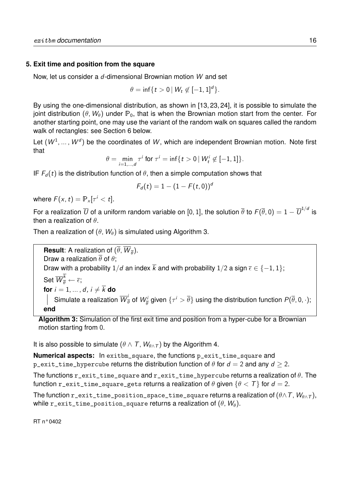## **5. Exit time and position from the square**

Now, let us consider a d-dimensional Brownian motion W and set

$$
\theta = \inf\{t > 0 \mid W_t \not\in [-1,1]^d\}.
$$

By using the one-dimensional distribution, as shown in [13, 23, 24], it is possible to simulate the joint distribution ( $\theta$ ,  $W_{\theta}$ ) under  $\mathbb{P}_0$ , that is when the Brownian motion start from the center. For another starting point, one may use the variant of the random walk on squares called the random walk of rectangles: see Section 6 below.

Let  $(W^1, \dots, W^d)$  be the coordinates of W, which are independent Brownian motion. Note first that

$$
\theta = \min_{i=1,\dots,d} \tau^i \text{ for } \tau^i = \inf\{t > 0 \, | \, W^i_t \not\in [-1,1]\}.
$$

IF  $F<sub>d</sub>(t)$  is the distribution function of  $\theta$ , then a simple computation shows that

$$
F_d(t)=1-(1-F(t,0))^a
$$

where  $F(x, t) = \mathbb{P}_x[\tau^i < t].$ 

For a realization  $\overline{U}$  of a uniform random variable on [0, 1], the solution  $\overline{\theta}$  to  $F(\overline{\theta},0)=1-\overline{U}^{1/d}$  is then a realization of  $\theta$ .

Then a realization of  $(\theta, W_{\theta})$  is simulated using Algorithm 3.

**Result**: A realization of  $(\theta, W_{\overline{\theta}})$ . Draw a realization  $\overline{\theta}$  of  $\theta$ ; Draw with a probability  $1/d$  an index  $\overline{k}$  and with probability  $1/2$  a sign  $\overline{\epsilon} \in \{-1, 1\}$ ; Set  $\overline{W}_{\overline{\theta}}^k \leftarrow \overline{\epsilon};$ **for**  $i = 1, ..., d$ ,  $i \neq \overline{k}$  **do** Simulate a realization  $\overline{W}_{\overline{\theta}}^i$  of  $W_{\overline{\theta}}^i$  given  $\{\tau^i>\overline{\theta}\}$  using the distribution function  $P(\overline{\theta},0,\cdot);$ **end**

**Algorithm 3:** Simulation of the first exit time and position from a hyper-cube for a Brownian motion starting from 0.

It is also possible to simulate ( $\theta \wedge \tau$ ,  $W_{\theta \wedge \tau}$ ) by the Algorithm 4.

**Numerical aspects:** In exitbm\_square, the functions p\_exit\_time\_square and p exit time hypercube returns the distribution function of  $\theta$  for  $d = 2$  and any  $d > 2$ .

The functions  $r$ \_exit\_time\_square and  $r$ \_exit\_time\_hypercube returns a realization of  $\theta$ . The function r\_exit\_time\_square\_gets returns a realization of  $\theta$  given  $\{\theta < T\}$  for  $d = 2$ .

The function r\_exit\_time\_position\_space\_time\_square returns a realization of  $(\theta \wedge T, W_{\theta \wedge T})$ , while r\_exit\_time\_position\_square returns a realization of  $(\theta, W_{\theta})$ .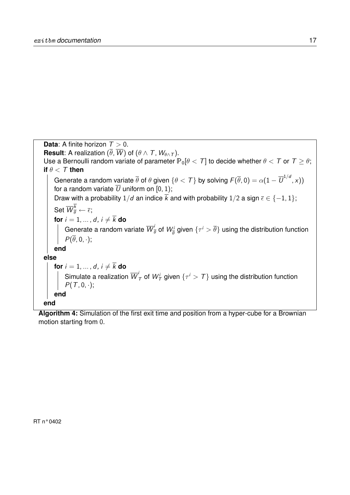

**Algorithm 4:** Simulation of the first exit time and position from a hyper-cube for a Brownian motion starting from 0.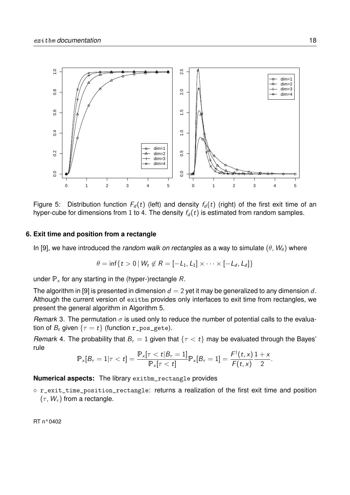

Figure 5: Distribution function  $F_d(t)$  (left) and density  $f_d(t)$  (right) of the first exit time of an hyper-cube for dimensions from 1 to 4. The density  $f_d(t)$  is estimated from random samples.

#### **6. Exit time and position from a rectangle**

In [9], we have introduced the *random walk on rectangles* as a way to simulate  $(\theta, W_{\theta})$  where

$$
\theta = \inf\{t > 0 \mid W_t \not\in R = [-L_1, L_1] \times \cdots \times [-L_d, L_d]\}
$$

under  $P_x$  for any starting in the (hyper-)rectangle R.

The algorithm in [9] is presented in dimension  $d = 2$  yet it may be generalized to any dimension d. Although the current version of exitbm provides only interfaces to exit time from rectangles, we present the general algorithm in Algorithm 5.

*Remark* 3. The permutation  $\sigma$  is used only to reduce the number of potential calls to the evaluation of  $B_t$  given  $\{\tau = t\}$  (function r\_pos\_gete).

*Remark* 4. The probability that  $B<sub>\tau</sub> = 1$  given that  $\{\tau < t\}$  may be evaluated through the Bayes' rule

$$
\mathbb{P}_x[B_\tau = 1 | \tau < t] = \frac{\mathbb{P}_x[\tau < t | B_\tau = 1]}{\mathbb{P}_x[\tau < t]} \mathbb{P}_x[B_\tau = 1] = \frac{F^{\dagger}(t, x)}{F(t, x)} \frac{1 + x}{2}.
$$

**Numerical aspects:** The library exitbm\_rectangle provides

◦ r\_exit\_time\_position\_rectangle: returns a realization of the first exit time and position  $(\tau, W_{\tau})$  from a rectangle.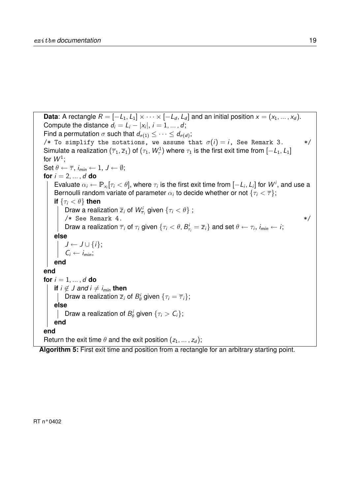**Data**: A rectangle  $R = [-L_1, L_1] \times \cdots \times [-L_d, L_d]$  and an initial position  $x = (x_1, ..., x_d)$ . Compute the distance  $d_i = L_i - |x_i|, i = 1, ..., d;$ Find a permutation  $\sigma$  such that  $d_{\sigma(1)} \leq \cdots \leq d_{\sigma(d)}$ ; /\* To simplify the notations, we assume that  $\sigma(i) = i$ , See Remark 3. \*/ Simulate a realization  $(\overline{\tau}_1,\overline{z}_1)$  of  $(\tau_1,W_\tau^1)$  where  $\tau_1$  is the first exit time from  $[-\mathcal{L}_1,\mathcal{L}_1]$ for  $W^1$ ; Set  $\theta \leftarrow \overline{\tau}$ ,  $i_{\min} \leftarrow 1$ ,  $J \leftarrow \emptyset$ ; **for**  $i = 2, ..., d$  **do** Evaluate  $\alpha_i \leftarrow \mathbb{P}_{x_i}[\tau_i < \theta]$ , where  $\tau_i$  is the first exit time from  $[-L_i, L_i]$  for  $W^i$ , and use a Bernoulli random variate of parameter  $\alpha_i$  to decide whether or not  $\{\tau_i<\overline{\tau}\};$ **if**  $\{\tau_i < \theta\}$  **then** Draw a realization  $\overline{z}_i$  of  $W_{\overline{\tau}_i}^i$  given  $\{\tau_i < \theta\}$  ;  $/*$  See Remark 4.  $*/$ Draw a realization  $\overline{\tau}_i$  of  $\tau_i$  given  $\{\tau_i < \theta, B^i_{\tau_i} = \overline{z}_i\}$  and set  $\theta \leftarrow \tau_i$ ,  $i_{\text{min}} \leftarrow i$ ; **else**  $J \leftarrow J \cup \{i\};$  $C_i \leftarrow i_{\text{min}};$ **end end for**  $i = 1, ..., d$  **do if**  $i \notin J$  *and*  $i \neq i_{\min}$  **then** Draw a realization  $\overline{z}_i$  of  $B^i_\theta$  given  $\{\tau_i = \overline{\tau}_i\};$ **else** Draw a realization of  $B^i_{\theta}$  given  $\{\tau_i > C_i\};$ **end end** Return the exit time  $\theta$  and the exit position  $(z_1, \ldots, z_d)$ ;

**Algorithm 5:** First exit time and position from a rectangle for an arbitrary starting point.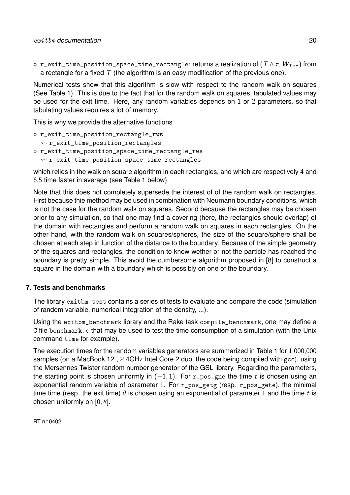$\circ$  r\_exit\_time\_position\_space\_time\_rectangle: returns a realization of (  $T \wedge \tau$ ,  $W_{T \wedge \tau}$ ) from a rectangle for a fixed  $T$  (the algorithm is an easy modification of the previous one).

Numerical tests show that this algorithm is slow with respect to the random walk on squares (See Table 1). This is due to the fact that for the random walk on squares, tabulated values may be used for the exit time. Here, any random variables depends on 1 or 2 parameters, so that tabulating values requires a lot of memory.

This is why we provide the alternative functions

- r\_exit\_time\_position\_rectangle\_rws
- $\rightarrow$  r\_exit\_time\_position\_rectangles ◦ r\_exit\_time\_position\_space\_time\_rectangle\_rws
- $\rightsquigarrow$  r\_exit\_time\_position\_space\_time\_rectangles

which relies in the walk on square algorithm in each rectangles, and which are respectively 4 and 6.5 time faster in average (see Table 1 below).

Note that this does not completely supersede the interest of of the random walk on rectangles. First because thie method may be used in combination with Neumann boundary conditions, which is not the case for the random walk on squares. Second because the rectangles may be chosen prior to any simulation, so that one may find a covering (here, the rectangles should overlap) of the domain with rectangles and perform a random walk on squares in each rectangles. On the other hand, with the random walk on squares/spheres, the size of the square/sphere shall be chosen at each step in function of the distance to the boundary. Because of the simple geometry of the squares and rectangles, the condition to know wether or not the particle has reached the boundary is pretty simple. This avoid the cumbersome algorithm proposed in [8] to construct a square in the domain with a boundary which is possibly on one of the boundary.

## **7. Tests and benchmarks**

The library exitbm\_test contains a series of tests to evaluate and compare the code (simulation of random variable, numerical integration of the density, ...).

Using the exitbm\_benchmark library and the Rake task compile\_benchmark, one may define a C file benchmark.c that may be used to test the time consumption of a simulation (with the Unix command time for example).

The execution times for the random variables generators are summarized in Table 1 for 1,000,000 samples (on a MacBook 12", 2.4GHz Intel Core 2 duo, the code being compiled with gcc), using the Mersennes Twister random number generator of the GSL library. Regarding the parameters, the starting point is chosen uniformly in  $(-1, 1)$ . For r\_pos\_gne the time t is chosen using an exponential random variable of parameter 1. For r\_pos\_getg (resp. r\_pos\_gete), the minimal time time (resp. the exit time)  $\theta$  is chosen using an exponential of parameter 1 and the time t is chosen uniformly on  $[0, \theta]$ .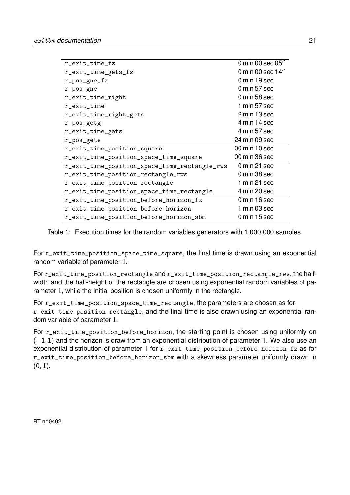| r_exit_time_fz                                | 0 min 00 sec 05" |
|-----------------------------------------------|------------------|
| r_exit_time_gets_fz                           | 0 min 00 sec 14" |
| r_pos_gne_fz                                  | 0 min 19 sec     |
| r_pos_gne                                     | 0 min 57 sec     |
| r_exit_time_right                             | 0 min 58 sec     |
| r_exit_time                                   | 1 min 57 sec     |
| r_exit_time_right_gets                        | 2 min 13 sec     |
| r_pos_getg                                    | 4 min 14 sec     |
| r_exit_time_gets                              | 4 min 57 sec     |
| r_pos_gete                                    | 24 min 09 sec    |
| r_exit_time_position_square                   | 00 min 10 sec    |
| r_exit_time_position_space_time_square        | 00 min 36 sec    |
| r_exit_time_position_space_time_rectangle_rws | 0 min 21 sec     |
| r_exit_time_position_rectangle_rws            | 0 min 38 sec     |
| r_exit_time_position_rectangle                | 1 min 21 sec     |
| r_exit_time_position_space_time_rectangle     | 4 min 20 sec     |
| r_exit_time_position_before_horizon_fz        | 0 min 16 sec     |
| r_exit_time_position_before_horizon           | 1 min 03 sec     |
| r_exit_time_position_before_horizon_sbm       | 0 min 15 sec     |

Table 1: Execution times for the random variables generators with 1,000,000 samples.

For r\_exit\_time\_position\_space\_time\_square, the final time is drawn using an exponential random variable of parameter 1.

For r\_exit\_time\_position\_rectangle and r\_exit\_time\_position\_rectangle\_rws, the halfwidth and the half-height of the rectangle are chosen using exponential random variables of parameter 1, while the initial position is chosen uniformly in the rectangle.

For r\_exit\_time\_position\_space\_time\_rectangle, the parameters are chosen as for r\_exit\_time\_position\_rectangle, and the final time is also drawn using an exponential random variable of parameter 1.

For r\_exit\_time\_position\_before\_horizon, the starting point is chosen using uniformly on  $(-1, 1)$  and the horizon is draw from an exponential distribution of parameter 1. We also use an exponential distribution of parameter 1 for r\_exit\_time\_position\_before\_horizon\_fz as for r\_exit\_time\_position\_before\_horizon\_sbm with a skewness parameter uniformly drawn in  $(0, 1)$ .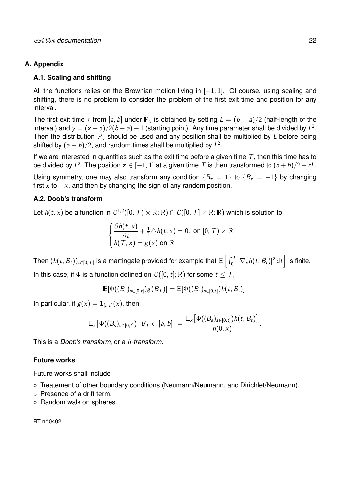## **A. Appendix**

### **A.1. Scaling and shifting**

All the functions relies on the Brownian motion living in  $[-1, 1]$ . Of course, using scaling and shifting, there is no problem to consider the problem of the first exit time and position for any interval.

The first exit time  $\tau$  from [a, b] under P<sub>x</sub> is obtained by setting  $L = (b - a)/2$  (half-length of the interval) and  $y = (x - a)/2(b - a) - 1$  (starting point). Any time parameter shall be divided by  $L^2$ . Then the distribution  $P_v$  should be used and any position shall be multiplied by L before being shifted by  $(a + b)/2$ , and random times shall be multiplied by  $L^2$ .

If we are interested in quantities such as the exit time before a given time  $\tau$ , then this time has to be divided by  $L^2.$  The position  $z\in [-1,1]$  at a given time  $\mathcal T$  is then transformed to  $(a+b)/2+zL.$ 

Using symmetry, one may also transform any condition  ${B<sub>\tau</sub> = 1}$  to  ${B<sub>\tau</sub> = -1}$  by changing first x to  $-x$ , and then by changing the sign of any random position.

### **A.2. Doob's transform**

Let  $h(t,x)$  be a function in  $\mathcal{C}^{1,2}([0,\,T)\times\mathbb{R};\mathbb{R})\cap\mathcal{C}([0,\,T]\times\mathbb{R};\mathbb{R})$  which is solution to

$$
\begin{cases} \frac{\partial h(t,x)}{\partial t} + \frac{1}{2} \triangle h(t,x) = 0, \text{ on } [0, T) \times \mathbb{R}, \\ h(T,x) = g(x) \text{ on } \mathbb{R}. \end{cases}
$$

Then  $(h(t,B_t))_{t\in[0,\,T]}$  is a martingale provided for example that  $\mathbb{E}\left[\int_0^T|\nabla_\times h(t,B_t)|^2\,\mathrm{d}t\right]$  is finite. In this case, if  $\Phi$  is a function defined on  $\mathcal{C}([0, t]; \mathbb{R})$  for some  $t \leq T$ ,

$$
\mathbb{E}[\Phi((B_s)_{s\in[0,t]})g(B_T)]=\mathbb{E}[\Phi((B_s)_{s\in[0,t]})h(t,B_t)].
$$

In particular, if  $g(x) = \mathbf{1}_{[a,b]}(x)$ , then

$$
\mathbb{E}_x\big[\Phi((B_s)_{s\in[0,t]})\,|\,B_\mathcal{T}\in [a,b]\big]=\frac{\mathbb{E}_x\big[\Phi((B_s)_{s\in[0,t]})h(t,B_t)\big]}{h(0,x)}.
$$

This is a *Doob's transform*, or a h*-transform*.

### **Future works**

Future works shall include

- Treatement of other boundary conditions (Neumann/Neumann, and Dirichlet/Neumann).
- Presence of a drift term.
- Random walk on spheres.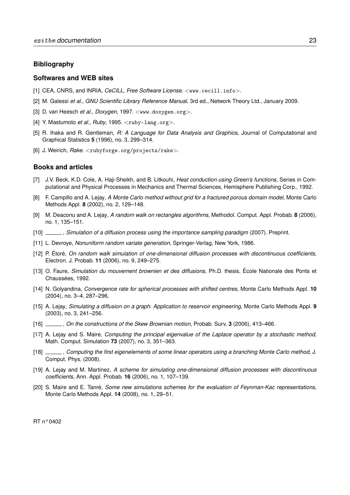#### **Bibliography**

#### **Softwares and WEB sites**

- [1] CEA, CNRS, and INRIA, *CeCILL, Free Software License*. <www.cecill.info>.
- [2] M. Galessi *et al.*, *GNU Scientific Library Reference Manual*, 3rd ed., Network Theory Ltd., January 2009.
- [3] D. van Heesch *et al.*, *Doxygen*, 1997. <www.doxygen.org>.
- [4] Y. Mastumoto *et al.*, *Ruby*, 1995. <ruby-lang.org>.
- [5] R. Ihaka and R. Gentleman, *R: A Language for Data Analysis and Graphics*, Journal of Computational and Graphical Statistics **5** (1996), no. 3, 299–314.
- [6] J. Weirich, *Rake*. <rubyforge.org/projects/rake>.

#### **Books and articles**

- [7] J.V. Beck, K.D. Cole, A. Haji-Sheikh, and B. Litkouhi, *Heat conduction using Green's functions*, Series in Computational and Physical Processes in Mechanics and Thermal Sciences, Hemisphere Publishing Corp., 1992.
- [8] F. Campillo and A. Lejay, *A Monte Carlo method without grid for a fractured porous domain model*, Monte Carlo Methods Appl. **8** (2002), no. 2, 129–148.
- [9] M. Deaconu and A. Lejay, *A random walk on rectangles algorithms*, Methodol. Comput. Appl. Probab. **8** (2006), no. 1, 135–151.
- [10] , *Simulation of a diffusion process using the importance sampling paradigm* (2007). Preprint.
- [11] L. Devroye, *Nonuniform random variate generation*, Springer-Verlag, New York, 1986.
- [12] P. Étoré, *On random walk simulation of one-dimensional diffusion processes with discontinuous coefficients*, Electron. J. Probab. **11** (2006), no. 9, 249–275.
- [13] O. Faure, *Simulation du mouvement brownien et des diffusions*, Ph.D. thesis, École Nationale des Ponts et Chaussées, 1992.
- [14] N. Golyandina, *Convergence rate for spherical processes with shifted centres*, Monte Carlo Methods Appl. **10** (2004), no. 3–4, 287–296.
- [15] A. Lejay, *Simulating a diffusion on a graph. Application to reservoir engineering*, Monte Carlo Methods Appl. **9** (2003), no. 3, 241–256.
- [16] , *On the constructions of the Skew Brownian motion*, Probab. Surv. **3** (2006), 413–466.
- [17] A. Lejay and S. Maire, *Computing the principal eigenvalue of the Laplace operator by a stochastic method*, Math. Comput. Simulation **73** (2007), no. 3, 351–363.
- [18] , *Computing the first eigenelements of some linear operators using a branching Monte Carlo method*, J. Comput. Phys. (2008).
- [19] A. Lejay and M. Martinez, *A scheme for simulating one-dimensional diffusion processes with discontinuous coefficients*, Ann. Appl. Probab. **16** (2006), no. 1, 107–139.
- [20] S. Maire and E. Tanré, *Some new simulations schemes for the evaluation of Feynman-Kac representations*, Monte Carlo Methods Appl. **14** (2008), no. 1, 29–51.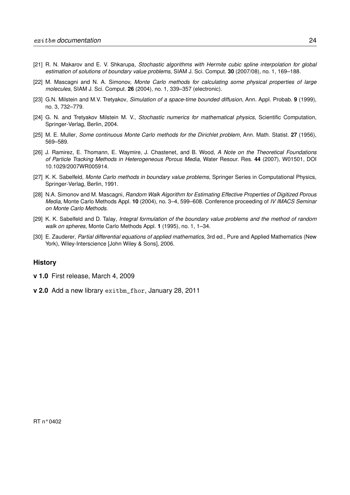- [21] R. N. Makarov and E. V. Shkarupa, *Stochastic algorithms with Hermite cubic spline interpolation for global estimation of solutions of boundary value problems*, SIAM J. Sci. Comput. **30** (2007/08), no. 1, 169–188.
- [22] M. Mascagni and N. A. Simonov, *Monte Carlo methods for calculating some physical properties of large molecules*, SIAM J. Sci. Comput. **26** (2004), no. 1, 339–357 (electronic).
- [23] G.N. Milstein and M.V. Tretyakov, *Simulation of a space-time bounded diffusion*, Ann. Appl. Probab. **9** (1999), no. 3, 732–779.
- [24] G. N. and Tretyakov Milstein M. V., *Stochastic numerics for mathematical physics*, Scientific Computation, Springer-Verlag, Berlin, 2004.
- [25] M. E. Muller, *Some continuous Monte Carlo methods for the Dirichlet problem*, Ann. Math. Statist. **27** (1956), 569–589.
- [26] J. Ramirez, E. Thomann, E. Waymire, J. Chastenet, and B. Wood, *A Note on the Theoretical Foundations of Particle Tracking Methods in Heterogeneous Porous Media*, Water Resour. Res. **44** (2007), W01501, DOI 10.1029/2007WR005914.
- [27] K. K. Sabelfeld, *Monte Carlo methods in boundary value problems*, Springer Series in Computational Physics, Springer-Verlag, Berlin, 1991.
- [28] N.A. Simonov and M. Mascagni, *Random Walk Algorithm for Estimating Effective Properties of Digitized Porous Media*, Monte Carlo Methods Appl. **10** (2004), no. 3–4, 599–608. Conference proceeding of *IV IMACS Seminar on Monte Carlo Methods*.
- [29] K. K. Sabelfeld and D. Talay, *Integral formulation of the boundary value problems and the method of random walk on spheres*, Monte Carlo Methods Appl. **1** (1995), no. 1, 1–34.
- [30] E. Zauderer, *Partial differential equations of applied mathematics*, 3rd ed., Pure and Applied Mathematics (New York), Wiley-Interscience [John Wiley & Sons], 2006.

#### **History**

- **v 1.0** First release, March 4, 2009
- **v 2.0** Add a new library exitbm\_fhor, January 28, 2011